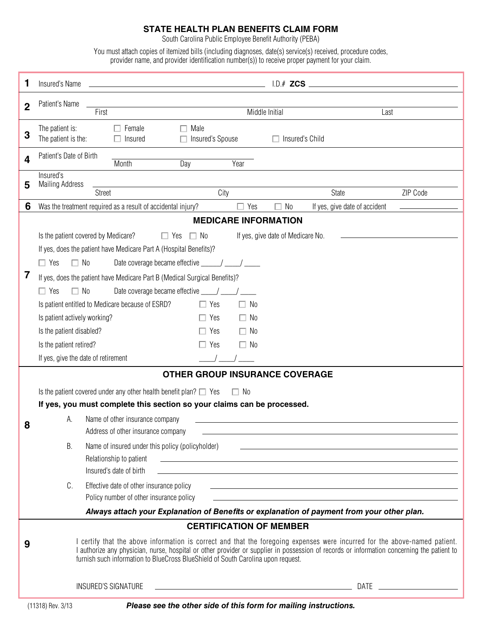## **state health plan benefits claim form**

South Carolina Public Employee Benefit Authority (PEBA)

You must attach copies of itemized bills (including diagnoses, date(s) service(s) received, procedure codes, provider name, and provider identification number(s)) to receive proper payment for your claim.

| 1                                                                                          | Insured's Name                                                                                                                                                                                                                                                                                                                                               | <u> 1989 - Johann Stein, marwolaethau a bhann an t-Amhainn an t-Amhainn an t-Amhainn an t-Amhainn an t-Amhainn a</u> |                        |                                                                                                                         |  |
|--------------------------------------------------------------------------------------------|--------------------------------------------------------------------------------------------------------------------------------------------------------------------------------------------------------------------------------------------------------------------------------------------------------------------------------------------------------------|----------------------------------------------------------------------------------------------------------------------|------------------------|-------------------------------------------------------------------------------------------------------------------------|--|
| $\overline{2}$                                                                             | Patient's Name<br><u> 1989 - Johann Stein, fransk politik (</u>                                                                                                                                                                                                                                                                                              |                                                                                                                      |                        |                                                                                                                         |  |
|                                                                                            | First                                                                                                                                                                                                                                                                                                                                                        | Middle Initial                                                                                                       |                        | Last                                                                                                                    |  |
| 3                                                                                          | The patient is:<br>$\Box$ Female<br>Male<br>The patient is the:<br>$\Box$ Insured<br>п                                                                                                                                                                                                                                                                       | Insured's Spouse                                                                                                     | $\Box$ Insured's Child |                                                                                                                         |  |
| 4                                                                                          | Patient's Date of Birth<br>Month<br>Day                                                                                                                                                                                                                                                                                                                      | Year                                                                                                                 |                        |                                                                                                                         |  |
| 5                                                                                          | Insured's<br><b>Mailing Address</b>                                                                                                                                                                                                                                                                                                                          |                                                                                                                      |                        |                                                                                                                         |  |
|                                                                                            | <b>Street</b>                                                                                                                                                                                                                                                                                                                                                | City                                                                                                                 | <b>State</b>           | ZIP Code                                                                                                                |  |
| 6                                                                                          | Was the treatment required as a result of accidental injury?                                                                                                                                                                                                                                                                                                 | $\Box$ Yes                                                                                                           | No<br>П                | If yes, give date of accident                                                                                           |  |
| <b>MEDICARE INFORMATION</b>                                                                |                                                                                                                                                                                                                                                                                                                                                              |                                                                                                                      |                        |                                                                                                                         |  |
|                                                                                            | Is the patient covered by Medicare?<br>$\Box$ Yes $\Box$ No<br>If yes, give date of Medicare No.<br>If yes, does the patient have Medicare Part A (Hospital Benefits)?                                                                                                                                                                                       |                                                                                                                      |                        |                                                                                                                         |  |
|                                                                                            |                                                                                                                                                                                                                                                                                                                                                              |                                                                                                                      |                        |                                                                                                                         |  |
|                                                                                            | $\Box$ No<br>$\Box$ Yes                                                                                                                                                                                                                                                                                                                                      |                                                                                                                      |                        |                                                                                                                         |  |
| 7                                                                                          | If yes, does the patient have Medicare Part B (Medical Surgical Benefits)?                                                                                                                                                                                                                                                                                   |                                                                                                                      |                        |                                                                                                                         |  |
|                                                                                            | $\Box$ No<br>Date coverage became effective ____/ ____/<br>$\Box$ Yes                                                                                                                                                                                                                                                                                        |                                                                                                                      |                        |                                                                                                                         |  |
|                                                                                            | Is patient entitled to Medicare because of ESRD?                                                                                                                                                                                                                                                                                                             | $\Box$ Yes<br>$\Box$ No                                                                                              |                        |                                                                                                                         |  |
|                                                                                            | Is patient actively working?                                                                                                                                                                                                                                                                                                                                 | $\Box$ Yes<br>$\Box$ No                                                                                              |                        |                                                                                                                         |  |
|                                                                                            | Is the patient disabled?                                                                                                                                                                                                                                                                                                                                     | $\Box$ Yes<br>$\Box$ No                                                                                              |                        |                                                                                                                         |  |
|                                                                                            | Is the patient retired?                                                                                                                                                                                                                                                                                                                                      | $\Box$ Yes<br>$\Box$ No                                                                                              |                        |                                                                                                                         |  |
|                                                                                            | If yes, give the date of retirement                                                                                                                                                                                                                                                                                                                          |                                                                                                                      |                        |                                                                                                                         |  |
| <b>OTHER GROUP INSURANCE COVERAGE</b>                                                      |                                                                                                                                                                                                                                                                                                                                                              |                                                                                                                      |                        |                                                                                                                         |  |
|                                                                                            | Is the patient covered under any other health benefit plan? $\square$ Yes                                                                                                                                                                                                                                                                                    | $\Box$ No                                                                                                            |                        |                                                                                                                         |  |
|                                                                                            | If yes, you must complete this section so your claims can be processed.                                                                                                                                                                                                                                                                                      |                                                                                                                      |                        |                                                                                                                         |  |
| 8                                                                                          | А.<br>Name of other insurance company                                                                                                                                                                                                                                                                                                                        |                                                                                                                      |                        |                                                                                                                         |  |
|                                                                                            | Address of other insurance company                                                                                                                                                                                                                                                                                                                           |                                                                                                                      |                        |                                                                                                                         |  |
|                                                                                            | В.<br>Name of insured under this policy (policyholder)                                                                                                                                                                                                                                                                                                       |                                                                                                                      |                        |                                                                                                                         |  |
|                                                                                            | Relationship to patient<br><u> 1989 - Johann John Stone, markin sanadi amerikan bahasa dalam pengaran sebagai pengaran sebagai pengaran seba</u>                                                                                                                                                                                                             |                                                                                                                      |                        |                                                                                                                         |  |
|                                                                                            | Insured's date of birth                                                                                                                                                                                                                                                                                                                                      |                                                                                                                      |                        |                                                                                                                         |  |
|                                                                                            | C.<br>Effective date of other insurance policy                                                                                                                                                                                                                                                                                                               |                                                                                                                      |                        | <u> 1999 - Johann Harry Harry Harry Harry Harry Harry Harry Harry Harry Harry Harry Harry Harry Harry Harry Harry H</u> |  |
|                                                                                            | Policy number of other insurance policy                                                                                                                                                                                                                                                                                                                      |                                                                                                                      |                        |                                                                                                                         |  |
| Always attach your Explanation of Benefits or explanation of payment from your other plan. |                                                                                                                                                                                                                                                                                                                                                              |                                                                                                                      |                        |                                                                                                                         |  |
|                                                                                            | <b>CERTIFICATION OF MEMBER</b>                                                                                                                                                                                                                                                                                                                               |                                                                                                                      |                        |                                                                                                                         |  |
| 9                                                                                          | I certify that the above information is correct and that the foregoing expenses were incurred for the above-named patient.<br>I authorize any physician, nurse, hospital or other provider or supplier in possession of records or information concerning the patient to<br>furnish such information to BlueCross BlueShield of South Carolina upon request. |                                                                                                                      |                        |                                                                                                                         |  |
|                                                                                            | <b>INSURED'S SIGNATURE</b><br><u> 2008 - Andrea Andrew Maria (h. 1878).</u>                                                                                                                                                                                                                                                                                  |                                                                                                                      |                        |                                                                                                                         |  |

(11318) Rev. 3/13 *Please see the other side of this form for mailing instructions.*